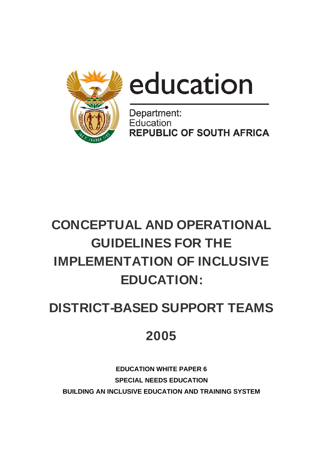



Department: Education **REPUBLIC OF SOUTH AFRICA** 

# CONCEPTUAL AND OPERATIONAL GUIDELINES FOR THE IMPLEMENTATION OF INCLUSIVE EDUCATION:

# DISTRICT-BASED SUPPORT TEAMS

# 2005

**EDUCATION WHITE PAPER 6 SPECIAL NEEDS EDUCATION BUILDING AN INCLUSIVE EDUCATION AND TRAINING SYSTEM**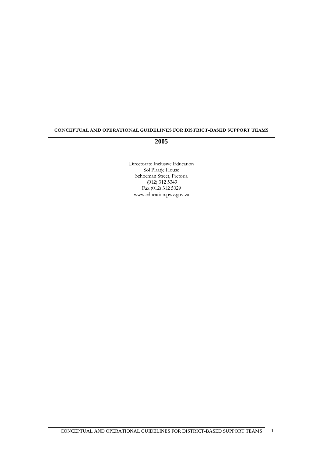#### **CONCEPTUAL AND OPERATIONAL GUIDELINES FOR DISTRICT-BASED SUPPORT TEAMS**

#### **2005**

Directorate Inclusive Education Sol Plaatje House Schoeman Street, Pretoria (012) 312 5349 Fax (012) 312 5029 www.education.pwv.gov.za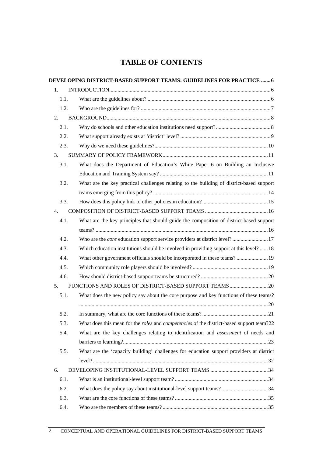# **TABLE OF CONTENTS**

|      | DEVELOPING DISTRICT-BASED SUPPORT TEAMS: GUIDELINES FOR PRACTICE  6                                    |
|------|--------------------------------------------------------------------------------------------------------|
| 1.   |                                                                                                        |
| 1.1. |                                                                                                        |
| 1.2. |                                                                                                        |
| 2.   |                                                                                                        |
| 2.1. |                                                                                                        |
| 2.2. |                                                                                                        |
| 2.3. |                                                                                                        |
| 3.   |                                                                                                        |
| 3.1. | What does the Department of Education's White Paper 6 on Building an Inclusive                         |
|      |                                                                                                        |
| 3.2. | What are the key practical challenges relating to the building of district-based support               |
|      |                                                                                                        |
| 3.3. |                                                                                                        |
| 4.   |                                                                                                        |
| 4.1. | What are the key principles that should guide the composition of district-based support                |
|      |                                                                                                        |
| 4.2. | Who are the <i>core</i> education support service providers at district level?17                       |
| 4.3. | Which education institutions should be involved in providing support at this level?  18                |
| 4.4. | What other government officials should be incorporated in these teams?  19                             |
| 4.5. |                                                                                                        |
| 4.6. |                                                                                                        |
| 5.   | FUNCTIONS AND ROLES OF DISTRICT-BASED SUPPORT TEAMS  20                                                |
| 5.1. | What does the new policy say about the core purpose and key functions of these teams?                  |
|      |                                                                                                        |
| 5.2. |                                                                                                        |
| 5.3. | What does this mean for the <i>roles</i> and <i>competencies</i> of the district-based support team?22 |
| 5.4. | What are the key challenges relating to identification and assessment of needs and                     |
|      |                                                                                                        |
| 5.5. | What are the 'capacity building' challenges for education support providers at district                |
|      |                                                                                                        |
| 6.   |                                                                                                        |
| 6.1. |                                                                                                        |
| 6.2. | What does the policy say about institutional-level support teams?34                                    |
| 6.3. |                                                                                                        |
| 6.4. |                                                                                                        |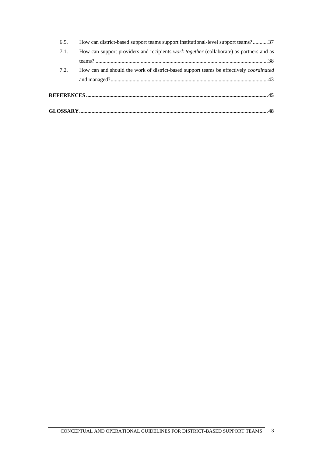| How can district-based support teams support institutional-level support teams?37              | 6.5. |
|------------------------------------------------------------------------------------------------|------|
| How can support providers and recipients <i>work together</i> (collaborate) as partners and as | 7.1. |
|                                                                                                |      |
| How can and should the work of district-based support teams be effectively <i>coordinated</i>  | 7.2. |
|                                                                                                |      |
|                                                                                                |      |
|                                                                                                |      |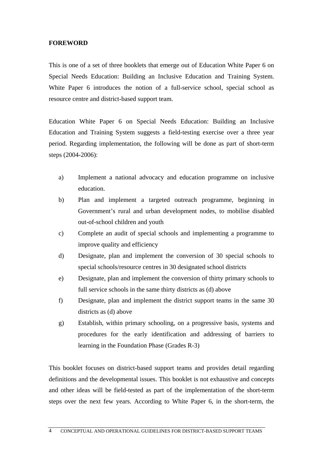#### **FOREWORD**

This is one of a set of three booklets that emerge out of Education White Paper 6 on Special Needs Education: Building an Inclusive Education and Training System. White Paper 6 introduces the notion of a full-service school, special school as resource centre and district-based support team.

Education White Paper 6 on Special Needs Education: Building an Inclusive Education and Training System suggests a field-testing exercise over a three year period. Regarding implementation, the following will be done as part of short-term steps (2004-2006):

- a) Implement a national advocacy and education programme on inclusive education.
- b) Plan and implement a targeted outreach programme, beginning in Government's rural and urban development nodes, to mobilise disabled out-of-school children and youth
- c) Complete an audit of special schools and implementing a programme to improve quality and efficiency
- d) Designate, plan and implement the conversion of 30 special schools to special schools/resource centres in 30 designated school districts
- e) Designate, plan and implement the conversion of thirty primary schools to full service schools in the same thirty districts as (d) above
- f) Designate, plan and implement the district support teams in the same 30 districts as (d) above
- g) Establish, within primary schooling, on a progressive basis, systems and procedures for the early identification and addressing of barriers to learning in the Foundation Phase (Grades R-3)

This booklet focuses on district-based support teams and provides detail regarding definitions and the developmental issues. This booklet is not exhaustive and concepts and other ideas will be field-tested as part of the implementation of the short-term steps over the next few years. According to White Paper 6, in the short-term, the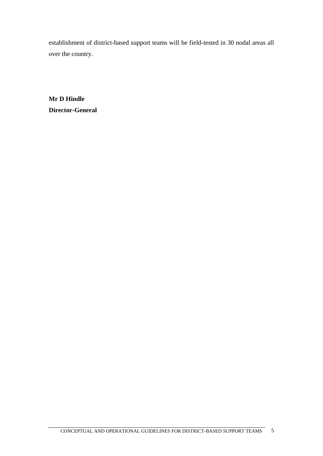establishment of district-based support teams will be field-tested in 30 nodal areas all over the country.

**Mr D Hindle Director-General**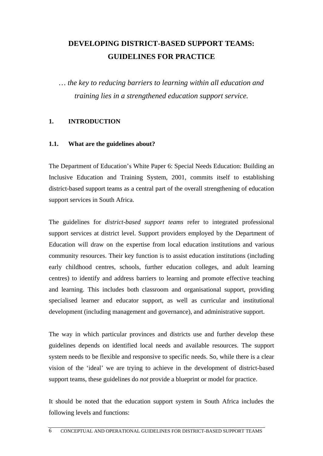# **DEVELOPING DISTRICT-BASED SUPPORT TEAMS: GUIDELINES FOR PRACTICE**

*… the key to reducing barriers to learning within all education and training lies in a strengthened education support service.* 

#### **1. INTRODUCTION**

#### **1.1. What are the guidelines about?**

The Department of Education's White Paper 6: Special Needs Education: Building an Inclusive Education and Training System, 2001, commits itself to establishing district-based support teams as a central part of the overall strengthening of education support services in South Africa.

The guidelines for *district-based support teams* refer to integrated professional support services at district level. Support providers employed by the Department of Education will draw on the expertise from local education institutions and various community resources. Their key function is to assist education institutions (including early childhood centres, schools, further education colleges, and adult learning centres) to identify and address barriers to learning and promote effective teaching and learning. This includes both classroom and organisational support, providing specialised learner and educator support, as well as curricular and institutional development (including management and governance), and administrative support.

The way in which particular provinces and districts use and further develop these guidelines depends on identified local needs and available resources. The support system needs to be flexible and responsive to specific needs. So, while there is a clear vision of the 'ideal' we are trying to achieve in the development of district-based support teams, these guidelines do *not* provide a blueprint or model for practice.

It should be noted that the education support system in South Africa includes the following levels and functions: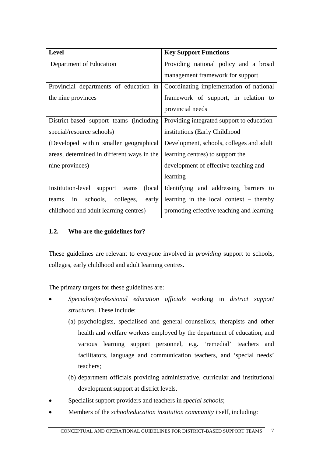| <b>Level</b>                                     | <b>Key Support Functions</b>              |  |  |
|--------------------------------------------------|-------------------------------------------|--|--|
| Department of Education                          | Providing national policy and a broad     |  |  |
|                                                  | management framework for support          |  |  |
| Provincial departments of education in           | Coordinating implementation of national   |  |  |
| the nine provinces                               | framework of support, in relation to      |  |  |
|                                                  | provincial needs                          |  |  |
| District-based support teams (including          | Providing integrated support to education |  |  |
| special/resource schools)                        | institutions (Early Childhood             |  |  |
| (Developed within smaller geographical           | Development, schools, colleges and adult  |  |  |
| areas, determined in different ways in the       | learning centres) to support the          |  |  |
| nine provinces)                                  | development of effective teaching and     |  |  |
|                                                  | learning                                  |  |  |
| Institution-level<br>(local)<br>support<br>teams | Identifying and addressing barriers to    |  |  |
| early<br>schools, colleges,<br>in<br>teams       | learning in the local context – thereby   |  |  |
| childhood and adult learning centres)            | promoting effective teaching and learning |  |  |

## **1.2. Who are the guidelines for?**

These guidelines are relevant to everyone involved in *providing* support to schools, colleges, early childhood and adult learning centres.

The primary targets for these guidelines are:

- *Specialist/professional education officials* working in *district support structures*. These include:
	- (a) psychologists, specialised and general counsellors, therapists and other health and welfare workers employed by the department of education, and various learning support personnel, e.g. 'remedial' teachers and facilitators, language and communication teachers, and 'special needs' teachers;
	- (b) department officials providing administrative, curricular and institutional development support at district levels.
- Specialist support providers and teachers in *special schools*;
- Members of the *school/education institution community* itself, including: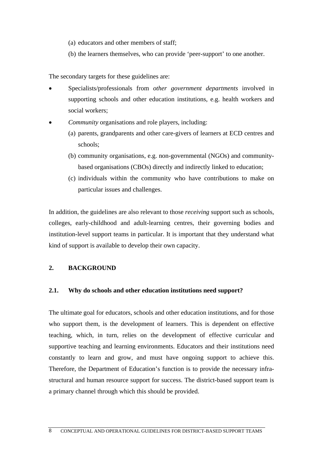- (a) educators and other members of staff;
- (b) the learners themselves, who can provide 'peer-support' to one another.

The secondary targets for these guidelines are:

- Specialists/professionals from *other government departments* involved in supporting schools and other education institutions, e.g. health workers and social workers;
- *Community* organisations and role players, including:
	- (a) parents, grandparents and other care-givers of learners at ECD centres and schools;
	- (b) community organisations, e.g. non-governmental (NGOs) and communitybased organisations (CBOs) directly and indirectly linked to education;
	- (c) individuals within the community who have contributions to make on particular issues and challenges.

In addition, the guidelines are also relevant to those *receiving* support such as schools, colleges, early-childhood and adult-learning centres, their governing bodies and institution-level support teams in particular. It is important that they understand what kind of support is available to develop their own capacity.

#### **2. BACKGROUND**

#### **2.1. Why do schools and other education institutions need support?**

The ultimate goal for educators, schools and other education institutions, and for those who support them, is the development of learners. This is dependent on effective teaching, which, in turn, relies on the development of effective curricular and supportive teaching and learning environments. Educators and their institutions need constantly to learn and grow, and must have ongoing support to achieve this. Therefore, the Department of Education's function is to provide the necessary infrastructural and human resource support for success. The district-based support team is a primary channel through which this should be provided.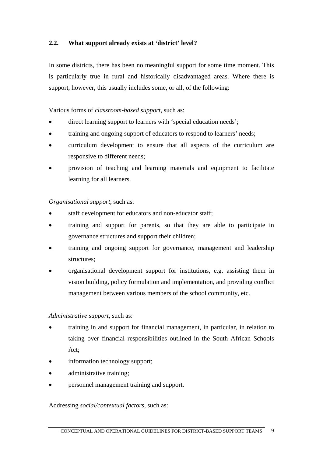## **2.2. What support already exists at 'district' level?**

In some districts, there has been no meaningful support for some time moment. This is particularly true in rural and historically disadvantaged areas. Where there is support, however, this usually includes some, or all, of the following:

#### Various forms of *classroom-based support*, such as:

- direct learning support to learners with 'special education needs';
- training and ongoing support of educators to respond to learners' needs;
- curriculum development to ensure that all aspects of the curriculum are responsive to different needs;
- provision of teaching and learning materials and equipment to facilitate learning for all learners.

#### *Organisational support*, such as:

- staff development for educators and non-educator staff;
- training and support for parents, so that they are able to participate in governance structures and support their children;
- training and ongoing support for governance, management and leadership structures;
- organisational development support for institutions, e.g. assisting them in vision building, policy formulation and implementation, and providing conflict management between various members of the school community, etc.

#### *Administrative support*, such as:

- training in and support for financial management, in particular, in relation to taking over financial responsibilities outlined in the South African Schools Act;
- information technology support;
- administrative training;
- personnel management training and support.

#### Addressing *social/contextual factors*, such as: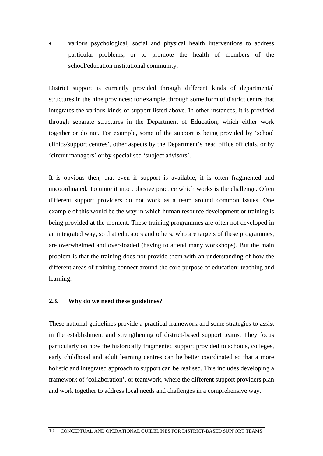various psychological, social and physical health interventions to address particular problems, or to promote the health of members of the school/education institutional community.

District support is currently provided through different kinds of departmental structures in the nine provinces: for example, through some form of district centre that integrates the various kinds of support listed above. In other instances, it is provided through separate structures in the Department of Education, which either work together or do not. For example, some of the support is being provided by 'school clinics/support centres', other aspects by the Department's head office officials, or by 'circuit managers' or by specialised 'subject advisors'.

It is obvious then, that even if support is available, it is often fragmented and uncoordinated. To unite it into cohesive practice which works is the challenge. Often different support providers do not work as a team around common issues. One example of this would be the way in which human resource development or training is being provided at the moment. These training programmes are often not developed in an integrated way, so that educators and others, who are targets of these programmes, are overwhelmed and over-loaded (having to attend many workshops). But the main problem is that the training does not provide them with an understanding of how the different areas of training connect around the core purpose of education: teaching and learning.

#### **2.3. Why do we need these guidelines?**

These national guidelines provide a practical framework and some strategies to assist in the establishment and strengthening of district-based support teams. They focus particularly on how the historically fragmented support provided to schools, colleges, early childhood and adult learning centres can be better coordinated so that a more holistic and integrated approach to support can be realised. This includes developing a framework of 'collaboration', or teamwork, where the different support providers plan and work together to address local needs and challenges in a comprehensive way.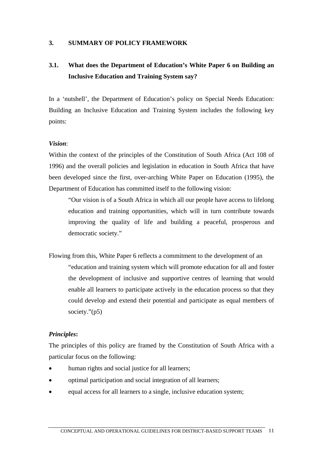#### **3. SUMMARY OF POLICY FRAMEWORK**

# **3.1. What does the Department of Education's White Paper 6 on Building an Inclusive Education and Training System say?**

In a 'nutshell', the Department of Education's policy on Special Needs Education: Building an Inclusive Education and Training System includes the following key points:

#### *Vision*:

Within the context of the principles of the Constitution of South Africa (Act 108 of 1996) and the overall policies and legislation in education in South Africa that have been developed since the first, over-arching White Paper on Education (1995), the Department of Education has committed itself to the following vision:

"Our vision is of a South Africa in which all our people have access to lifelong education and training opportunities, which will in turn contribute towards improving the quality of life and building a peaceful, prosperous and democratic society."

Flowing from this, White Paper 6 reflects a commitment to the development of an "education and training system which will promote education for all and foster the development of inclusive and supportive centres of learning that would enable all learners to participate actively in the education process so that they could develop and extend their potential and participate as equal members of society."(p5)

#### *Principles***:**

The principles of this policy are framed by the Constitution of South Africa with a particular focus on the following:

- human rights and social justice for all learners;
- optimal participation and social integration of all learners;
- equal access for all learners to a single, inclusive education system;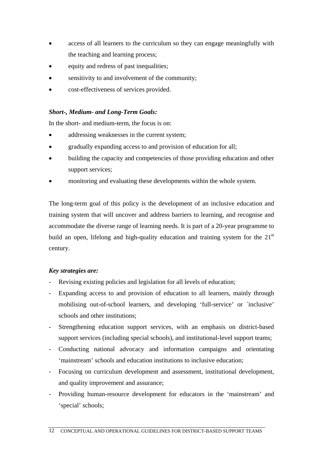- access of all learners to the curriculum so they can engage meaningfully with the teaching and learning process;
- equity and redress of past inequalities;
- sensitivity to and involvement of the community;
- cost-effectiveness of services provided.

## *Short-, Medium- and Long-Term Goals:*

In the short- and medium-term, the focus is on:

- addressing weaknesses in the current system;
- gradually expanding access to and provision of education for all;
- building the capacity and competencies of those providing education and other support services;
- monitoring and evaluating these developments within the whole system.

The long-term goal of this policy is the development of an inclusive education and training system that will uncover and address barriers to learning, and recognise and accommodate the diverse range of learning needs. It is part of a 20-year programme to build an open, lifelong and high-quality education and training system for the  $21<sup>st</sup>$ century.

## *Key strategies are:*

- Revising existing policies and legislation for all levels of education;
- Expanding access to and provision of education to all learners, mainly through mobilising out-of-school learners, and developing 'full-service' or `inclusive' schools and other institutions;
- Strengthening education support services, with an emphasis on district-based support services (including special schools), and institutional-level support teams;
- Conducting national advocacy and information campaigns and orientating 'mainstream' schools and education institutions to inclusive education;
- Focusing on curriculum development and assessment, institutional development, and quality improvement and assurance;
- Providing human-resource development for educators in the 'mainstream' and 'special' schools;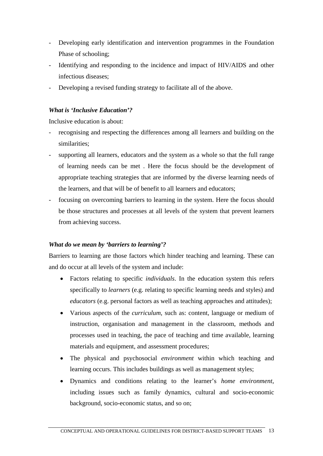- Developing early identification and intervention programmes in the Foundation Phase of schooling;
- Identifying and responding to the incidence and impact of HIV/AIDS and other infectious diseases;
- Developing a revised funding strategy to facilitate all of the above.

## *What is 'Inclusive Education'?*

Inclusive education is about:

- recognising and respecting the differences among all learners and building on the similarities;
- supporting all learners, educators and the system as a whole so that the full range of learning needs can be met . Here the focus should be the development of appropriate teaching strategies that are informed by the diverse learning needs of the learners, and that will be of benefit to all learners and educators;
- focusing on overcoming barriers to learning in the system. Here the focus should be those structures and processes at all levels of the system that prevent learners from achieving success.

## *What do we mean by 'barriers to learning'?*

Barriers to learning are those factors which hinder teaching and learning. These can and do occur at all levels of the system and include:

- Factors relating to specific *individuals*. In the education system this refers specifically to *learners* (e.g. relating to specific learning needs and styles) and *educators* (e.g. personal factors as well as teaching approaches and attitudes);
- Various aspects of the *curriculum*, such as: content, language or medium of instruction, organisation and management in the classroom, methods and processes used in teaching, the pace of teaching and time available, learning materials and equipment, and assessment procedures;
- The physical and psychosocial *environment* within which teaching and learning occurs. This includes buildings as well as management styles;
- Dynamics and conditions relating to the learner's *home environment*, including issues such as family dynamics, cultural and socio-economic background, socio-economic status, and so on;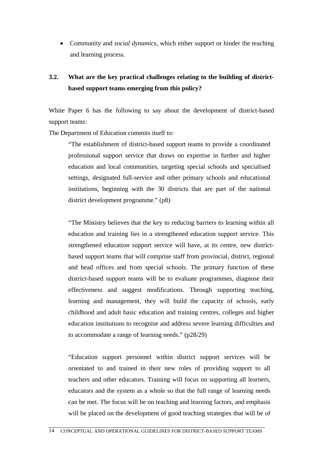Community and *social dynamics,* which either support or hinder the teaching and learning process.

# **3.2. What are the key practical challenges relating to the building of districtbased support teams emerging from this policy?**

White Paper 6 has the following to say about the development of district-based support teams:

The Department of Education commits itself to:

"The establishment of district-based support teams to provide a coordinated professional support service that draws on expertise in further and higher education and local communities, targeting special schools and specialised settings, designated full-service and other primary schools and educational institutions, beginning with the 30 districts that are part of the national district development programme." (p8)

"The Ministry believes that the key to reducing barriers to learning within all education and training lies in a strengthened education support service. This strengthened education support service will have, at its centre, new districtbased support teams that will comprise staff from provincial, district, regional and head offices and from special schools. The primary function of these district-based support teams will be to evaluate programmes, diagnose their effectiveness and suggest modifications. Through supporting teaching, learning and management, they will build the capacity of schools, early childhood and adult basic education and training centres, colleges and higher education institutions to recognise and address severe learning difficulties and to accommodate a range of learning needs." (p28/29)

"Education support personnel within district support services will be orientated to and trained in their new roles of providing support to all teachers and other educators. Training will focus on supporting all learners, educators and the system as a whole so that the full range of learning needs can be met. The focus will be on teaching and learning factors, and emphasis will be placed on the development of good teaching strategies that will be of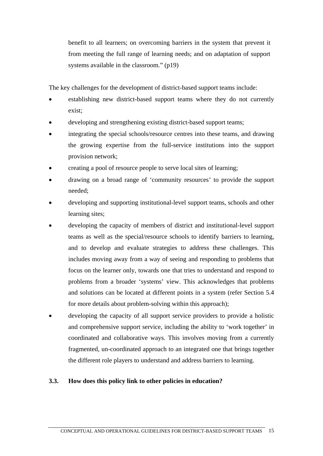benefit to all learners; on overcoming barriers in the system that prevent it from meeting the full range of learning needs; and on adaptation of support systems available in the classroom." (p19)

The key challenges for the development of district-based support teams include:

- establishing new district-based support teams where they do not currently exist;
- developing and strengthening existing district-based support teams;
- integrating the special schools/resource centres into these teams, and drawing the growing expertise from the full-service institutions into the support provision network;
- creating a pool of resource people to serve local sites of learning;
- drawing on a broad range of 'community resources' to provide the support needed;
- developing and supporting institutional-level support teams, schools and other learning sites;
- developing the capacity of members of district and institutional-level support teams as well as the special/resource schools to identify barriers to learning, and to develop and evaluate strategies to address these challenges. This includes moving away from a way of seeing and responding to problems that focus on the learner only, towards one that tries to understand and respond to problems from a broader 'systems' view. This acknowledges that problems and solutions can be located at different points in a system (refer Section 5.4 for more details about problem-solving within this approach);
- developing the capacity of all support service providers to provide a holistic and comprehensive support service, including the ability to 'work together' in coordinated and collaborative ways. This involves moving from a currently fragmented, un-coordinated approach to an integrated one that brings together the different role players to understand and address barriers to learning.

#### **3.3. How does this policy link to other policies in education?**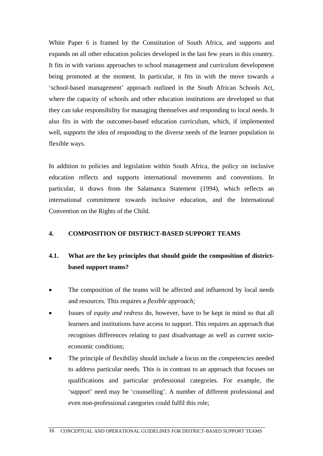White Paper 6 is framed by the Constitution of South Africa, and supports and expands on all other education policies developed in the last few years in this country. It fits in with various approaches to school management and curriculum development being promoted at the moment. In particular, it fits in with the move towards a 'school-based management' approach outlined in the South African Schools Act, where the capacity of schools and other education institutions are developed so that they can take responsibility for managing themselves and responding to local needs. It also fits in with the outcomes-based education curriculum, which, if implemented well, supports the idea of responding to the diverse needs of the learner population in flexible ways.

In addition to policies and legislation within South Africa, the policy on inclusive education reflects and supports international movements and conventions. In particular, it draws from the Salamanca Statement (1994), which reflects an international commitment towards inclusive education, and the International Convention on the Rights of the Child.

#### **4. COMPOSITION OF DISTRICT-BASED SUPPORT TEAMS**

# **4.1. What are the key principles that should guide the composition of districtbased support teams?**

- The composition of the teams will be affected and influenced by local needs and resources. This requires a *flexible approach;*
- Issues of *equity and redress* do, however, have to be kept in mind so that all learners and institutions have access to support. This requires an approach that recognises differences relating to past disadvantage as well as current socioeconomic conditions;
- The principle of flexibility should include a focus on the *competencies* needed to address particular needs. This is in contrast to an approach that focuses on qualifications and particular professional categories. For example, the 'support' need may be 'counselling'. A number of different professional and even non-professional categories could fulfil this role;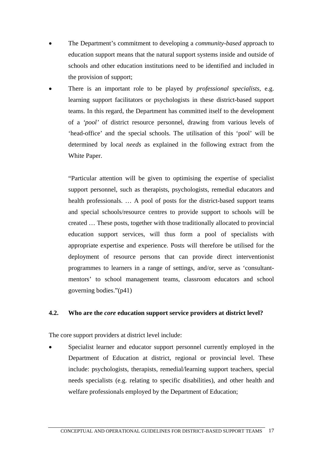- The Department's commitment to developing a *community-based* approach to education support means that the natural support systems inside and outside of schools and other education institutions need to be identified and included in the provision of support;
- There is an important role to be played by *professional specialists,* e.g. learning support facilitators or psychologists in these district-based support teams. In this regard, the Department has committed itself to the development of a *'pool'* of district resource personnel, drawing from various levels of 'head-office' and the special schools. The utilisation of this 'pool' will be determined by local *needs* as explained in the following extract from the White Paper.

"Particular attention will be given to optimising the expertise of specialist support personnel, such as therapists, psychologists, remedial educators and health professionals. … A pool of posts for the district-based support teams and special schools/resource centres to provide support to schools will be created … These posts, together with those traditionally allocated to provincial education support services, will thus form a pool of specialists with appropriate expertise and experience. Posts will therefore be utilised for the deployment of resource persons that can provide direct interventionist programmes to learners in a range of settings, and/or, serve as 'consultantmentors' to school management teams, classroom educators and school governing bodies."(p41)

#### **4.2. Who are the** *core* **education support service providers at district level?**

The core support providers at district level include:

 Specialist learner and educator support personnel currently employed in the Department of Education at district, regional or provincial level. These include: psychologists, therapists, remedial/learning support teachers, special needs specialists (e.g. relating to specific disabilities), and other health and welfare professionals employed by the Department of Education;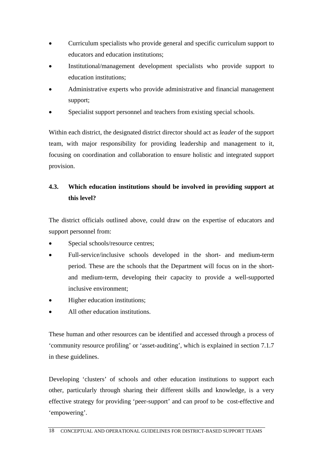- Curriculum specialists who provide general and specific curriculum support to educators and education institutions;
- Institutional/management development specialists who provide support to education institutions;
- Administrative experts who provide administrative and financial management support;
- Specialist support personnel and teachers from existing special schools.

Within each district, the designated district director should act as *leader* of the support team, with major responsibility for providing leadership and management to it, focusing on coordination and collaboration to ensure holistic and integrated support provision.

# **4.3. Which education institutions should be involved in providing support at this level?**

The district officials outlined above, could draw on the expertise of educators and support personnel from:

- Special schools/resource centres;
- Full-service/inclusive schools developed in the short- and medium-term period. These are the schools that the Department will focus on in the shortand medium-term, developing their capacity to provide a well-supported inclusive environment;
- Higher education institutions;
- All other education institutions.

These human and other resources can be identified and accessed through a process of 'community resource profiling' or 'asset-auditing', which is explained in section 7.1.7 in these guidelines.

Developing 'clusters' of schools and other education institutions to support each other, particularly through sharing their different skills and knowledge, is a very effective strategy for providing 'peer-support' and can proof to be cost-effective and 'empowering'.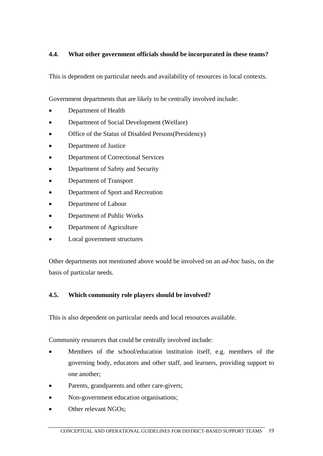## **4.4. What other government officials should be incorporated in these teams?**

This is dependent on particular needs and availability of resources in local contexts.

Government departments that are likely to be centrally involved include:

- Department of Health
- Department of Social Development (Welfare)
- Office of the Status of Disabled Persons(Presidency)
- Department of Justice
- Department of Correctional Services
- Department of Safety and Security
- Department of Transport
- Department of Sport and Recreation
- Department of Labour
- Department of Public Works
- Department of Agriculture
- Local government structures

Other departments not mentioned above would be involved on an *ad-hoc* basis, on the basis of particular needs.

#### **4.5. Which community role players should be involved?**

This is also dependent on particular needs and local resources available.

Community resources that could be centrally involved include:

- Members of the school/education institution itself, e.g. members of the governing body, educators and other staff, and learners, providing support to one another;
- Parents, grandparents and other care-givers;
- Non-government education organisations;
- Other relevant NGOs;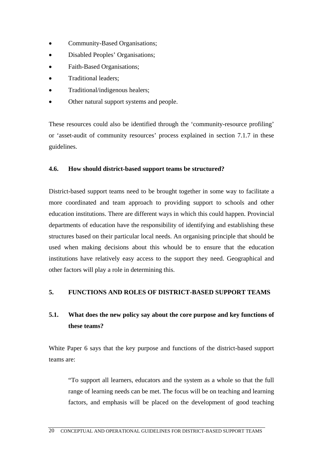- Community-Based Organisations;
- Disabled Peoples' Organisations;
- Faith-Based Organisations;
- Traditional leaders;
- Traditional/indigenous healers;
- Other natural support systems and people.

These resources could also be identified through the 'community-resource profiling' or 'asset-audit of community resources' process explained in section 7.1.7 in these guidelines.

#### **4.6. How should district-based support teams be structured?**

District-based support teams need to be brought together in some way to facilitate a more coordinated and team approach to providing support to schools and other education institutions. There are different ways in which this could happen. Provincial departments of education have the responsibility of identifying and establishing these structures based on their particular local needs. An organising principle that should be used when making decisions about this whould be to ensure that the education institutions have relatively easy access to the support they need. Geographical and other factors will play a role in determining this.

#### **5. FUNCTIONS AND ROLES OF DISTRICT-BASED SUPPORT TEAMS**

# **5.1. What does the new policy say about the core purpose and key functions of these teams?**

White Paper 6 says that the key purpose and functions of the district-based support teams are:

"To support all learners, educators and the system as a whole so that the full range of learning needs can be met. The focus will be on teaching and learning factors, and emphasis will be placed on the development of good teaching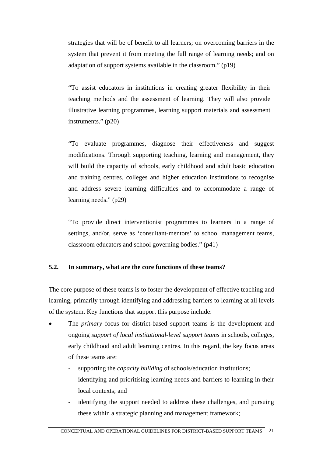strategies that will be of benefit to all learners; on overcoming barriers in the system that prevent it from meeting the full range of learning needs; and on adaptation of support systems available in the classroom." (p19)

"To assist educators in institutions in creating greater flexibility in their teaching methods and the assessment of learning. They will also provide illustrative learning programmes, learning support materials and assessment instruments." (p20)

"To evaluate programmes, diagnose their effectiveness and suggest modifications. Through supporting teaching, learning and management, they will build the capacity of schools, early childhood and adult basic education and training centres, colleges and higher education institutions to recognise and address severe learning difficulties and to accommodate a range of learning needs." (p29)

"To provide direct interventionist programmes to learners in a range of settings, and/or, serve as 'consultant-mentors' to school management teams, classroom educators and school governing bodies." (p41)

#### **5.2. In summary, what are the core functions of these teams?**

The core purpose of these teams is to foster the development of effective teaching and learning, primarily through identifying and addressing barriers to learning at all levels of the system. Key functions that support this purpose include:

- The *primary* focus for district-based support teams is the development and ongoing *support of local institutional-level support teams* in schools, colleges, early childhood and adult learning centres. In this regard, the key focus areas of these teams are:
	- supporting the *capacity building* of schools/education institutions;
	- identifying and prioritising learning needs and barriers to learning in their local contexts; and
	- identifying the support needed to address these challenges, and pursuing these within a strategic planning and management framework;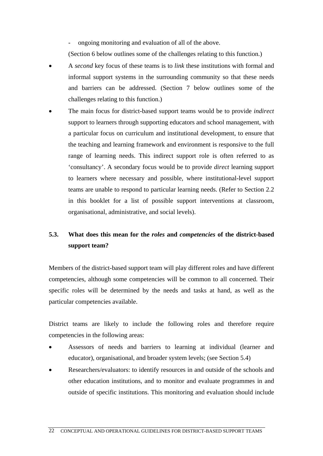ongoing monitoring and evaluation of all of the above.

(Section 6 below outlines some of the challenges relating to this function.)

- A *second* key focus of these teams is to *link* these institutions with formal and informal support systems in the surrounding community so that these needs and barriers can be addressed. (Section 7 below outlines some of the challenges relating to this function.)
- The main focus for district-based support teams would be to provide *indirect* support to learners through supporting educators and school management, with a particular focus on curriculum and institutional development, to ensure that the teaching and learning framework and environment is responsive to the full range of learning needs. This indirect support role is often referred to as 'consultancy'. A secondary focus would be to provide *direct* learning support to learners where necessary and possible, where institutional-level support teams are unable to respond to particular learning needs. (Refer to Section 2.2 in this booklet for a list of possible support interventions at classroom, organisational, administrative, and social levels).

# **5.3. What does this mean for the** *roles* **and** *competencies* **of the district-based support team?**

Members of the district-based support team will play different roles and have different competencies, although some competencies will be common to all concerned. Their specific roles will be determined by the needs and tasks at hand, as well as the particular competencies available.

District teams are likely to include the following roles and therefore require competencies in the following areas:

- Assessors of needs and barriers to learning at individual (learner and educator), organisational, and broader system levels; (see Section 5.4)
- Researchers/evaluators: to identify resources in and outside of the schools and other education institutions, and to monitor and evaluate programmes in and outside of specific institutions. This monitoring and evaluation should include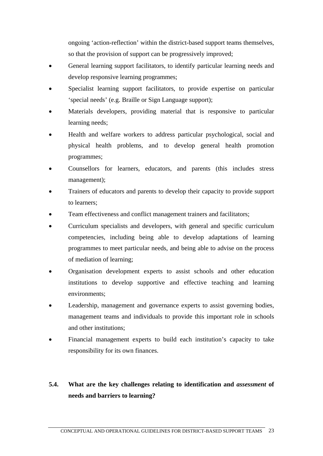ongoing 'action-reflection' within the district-based support teams themselves, so that the provision of support can be progressively improved;

- General learning support facilitators, to identify particular learning needs and develop responsive learning programmes;
- Specialist learning support facilitators, to provide expertise on particular 'special needs' (e.g. Braille or Sign Language support);
- Materials developers, providing material that is responsive to particular learning needs;
- Health and welfare workers to address particular psychological, social and physical health problems, and to develop general health promotion programmes;
- Counsellors for learners, educators, and parents (this includes stress management);
- Trainers of educators and parents to develop their capacity to provide support to learners;
- Team effectiveness and conflict management trainers and facilitators;
- Curriculum specialists and developers, with general and specific curriculum competencies, including being able to develop adaptations of learning programmes to meet particular needs, and being able to advise on the process of mediation of learning;
- Organisation development experts to assist schools and other education institutions to develop supportive and effective teaching and learning environments;
- Leadership, management and governance experts to assist governing bodies, management teams and individuals to provide this important role in schools and other institutions;
- Financial management experts to build each institution's capacity to take responsibility for its own finances.

# **5.4. What are the key challenges relating to identification and** *assessment* **of needs and barriers to learning?**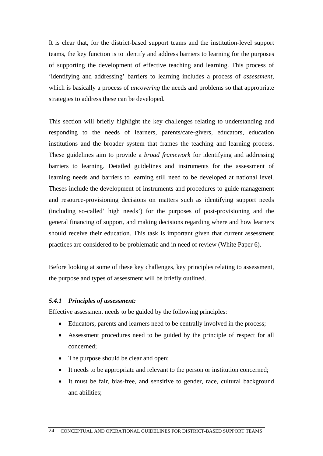It is clear that, for the district-based support teams and the institution-level support teams, the key function is to identify and address barriers to learning for the purposes of supporting the development of effective teaching and learning. This process of 'identifying and addressing' barriers to learning includes a process of *assessment,* which is basically a process of *uncovering* the needs and problems so that appropriate strategies to address these can be developed.

This section will briefly highlight the key challenges relating to understanding and responding to the needs of learners, parents/care-givers, educators, education institutions and the broader system that frames the teaching and learning process. These guidelines aim to provide a *broad framework* for identifying and addressing barriers to learning. Detailed guidelines and instruments for the assessment of learning needs and barriers to learning still need to be developed at national level. Theses include the development of instruments and procedures to guide management and resource-provisioning decisions on matters such as identifying support needs (including so-called' high needs') for the purposes of post-provisioning and the general financing of support, and making decisions regarding where and how learners should receive their education. This task is important given that current assessment practices are considered to be problematic and in need of review (White Paper 6).

Before looking at some of these key challenges, key principles relating to assessment, the purpose and types of assessment will be briefly outlined.

#### *5.4.1 Principles of assessment:*

Effective assessment needs to be guided by the following principles:

- Educators, parents and learners need to be centrally involved in the process;
- Assessment procedures need to be guided by the principle of respect for all concerned;
- The purpose should be clear and open;
- It needs to be appropriate and relevant to the person or institution concerned;
- It must be fair, bias-free, and sensitive to gender, race, cultural background and abilities;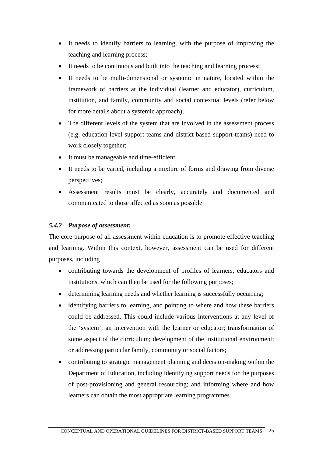- It needs to identify barriers to learning, with the purpose of improving the teaching and learning process;
- It needs to be continuous and built into the teaching and learning process;
- It needs to be multi-dimensional or systemic in nature, located within the framework of barriers at the individual (learner and educator), curriculum, institution, and family, community and social contextual levels (refer below for more details about a systemic approach);
- The different levels of the system that are involved in the assessment process (e.g. education-level support teams and district-based support teams) need to work closely together;
- It must be manageable and time-efficient;
- It needs to be varied, including a mixture of forms and drawing from diverse perspectives;
- Assessment results must be clearly, accurately and documented and communicated to those affected as soon as possible.

# *5.4.2 Purpose of assessment:*

The core purpose of all assessment within education is to promote effective teaching and learning. Within this context, however, assessment can be used for different purposes, including

- contributing towards the development of profiles of learners, educators and institutions, which can then be used for the following purposes;
- determining learning needs and whether learning is successfully occurring;
- identifying barriers to learning, and pointing to where and how these barriers could be addressed. This could include various interventions at any level of the 'system': an intervention with the learner or educator; transformation of some aspect of the curriculum; development of the institutional environment; or addressing particular family, community or social factors;
- contributing to strategic management planning and decision-making within the Department of Education, including identifying support needs for the purposes of post-provisioning and general resourcing; and informing where and how learners can obtain the most appropriate learning programmes.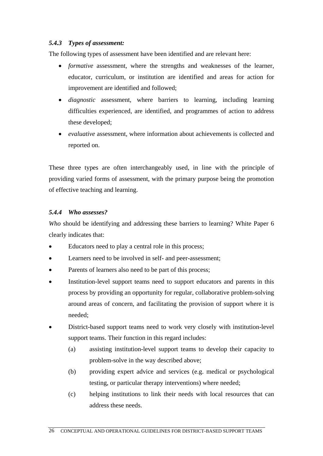### *5.4.3 Types of assessment:*

The following types of assessment have been identified and are relevant here:

- *formative* assessment, where the strengths and weaknesses of the learner, educator, curriculum, or institution are identified and areas for action for improvement are identified and followed;
- *diagnostic* assessment, where barriers to learning, including learning difficulties experienced, are identified, and programmes of action to address these developed;
- *evaluative* assessment, where information about achievements is collected and reported on.

These three types are often interchangeably used, in line with the principle of providing varied forms of assessment, with the primary purpose being the promotion of effective teaching and learning.

## *5.4.4 Who assesses?*

*Who* should be identifying and addressing these barriers to learning? White Paper 6 clearly indicates that:

- Educators need to play a central role in this process;
- Learners need to be involved in self- and peer-assessment;
- Parents of learners also need to be part of this process;
- Institution-level support teams need to support educators and parents in this process by providing an opportunity for regular, collaborative problem-solving around areas of concern, and facilitating the provision of support where it is needed;
- District-based support teams need to work very closely with institution-level support teams. Their function in this regard includes:
	- (a) assisting institution-level support teams to develop their capacity to problem-solve in the way described above;
	- (b) providing expert advice and services (e.g. medical or psychological testing, or particular therapy interventions) where needed;
	- (c) helping institutions to link their needs with local resources that can address these needs.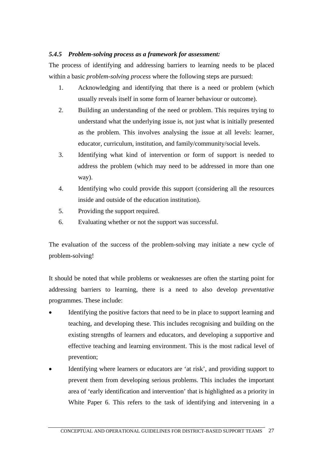## *5.4.5 Problem-solving process as a framework for assessment:*

The process of identifying and addressing barriers to learning needs to be placed within a basic *problem-solving process* where the following steps are pursued:

- 1. Acknowledging and identifying that there is a need or problem (which usually reveals itself in some form of learner behaviour or outcome).
- 2. Building an understanding of the need or problem. This requires trying to understand what the underlying issue is, not just what is initially presented as the problem. This involves analysing the issue at all levels: learner, educator, curriculum, institution, and family/community/social levels.
- 3. Identifying what kind of intervention or form of support is needed to address the problem (which may need to be addressed in more than one way).
- 4. Identifying who could provide this support (considering all the resources inside and outside of the education institution).
- 5. Providing the support required.
- 6. Evaluating whether or not the support was successful.

The evaluation of the success of the problem-solving may initiate a new cycle of problem-solving!

It should be noted that while problems or weaknesses are often the starting point for addressing barriers to learning, there is a need to also develop *preventative* programmes. These include:

- Identifying the positive factors that need to be in place to support learning and teaching, and developing these. This includes recognising and building on the existing strengths of learners and educators, and developing a supportive and effective teaching and learning environment. This is the most radical level of prevention;
- Identifying where learners or educators are 'at risk', and providing support to prevent them from developing serious problems. This includes the important area of 'early identification and intervention' that is highlighted as a priority in White Paper 6. This refers to the task of identifying and intervening in a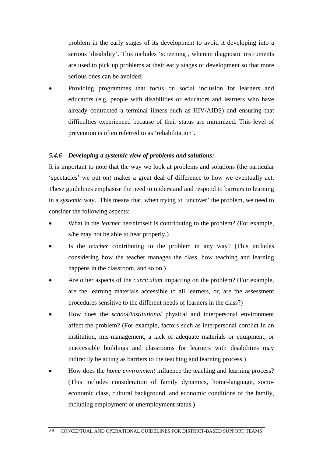problem in the early stages of its development to avoid it developing into a serious 'disability'. This includes 'screening', wherein diagnostic instruments are used to pick up problems at their early stages of development so that more serious ones can be avoided;

 Providing programmes that focus on social inclusion for learners and educators (e.g. people with disabilities or educators and learners who have already contracted a terminal illness such as HIV/AIDS) and ensuring that difficulties experienced because of their status are minimized. This level of prevention is often referred to as 'rehabilitation'.

#### *5.4.6 Developing a systemic view of problems and solutions:*

It is important to note that the way we look at problems and solutions (the particular 'spectacles' we put on) makes a great deal of difference to how we eventually act. These guidelines emphasise the need to understand and respond to barriers to learning in a *systemic* way. This means that, when trying to 'uncover' the problem, we need to consider the following aspects:

- What in the *learner* her/himself is contributing to the problem? (For example, s/he may not be able to hear properly.)
- Is the *teacher* contributing to the problem in any way? (This includes considering how the teacher manages the class, how teaching and learning happens in the classroom, and so on.)
- Are other aspects of the *curriculum* impacting on the problem? (For example, are the learning materials accessible to all learners, or, are the assessment procedures sensitive to the different needs of learners in the class?)
- How does the *school/institutional* physical and interpersonal environment affect the problem? (For example, factors such as interpersonal conflict in an institution, mis-management, a lack of adequate materials or equipment, or inaccessible buildings and classrooms for learners with disabilities may indirectly be acting as barriers to the teaching and learning process.)
- How does the *home environment* influence the teaching and learning process? (This includes consideration of family dynamics, home-language, socioeconomic class, cultural background, and economic conditions of the family, including employment or unemployment status.)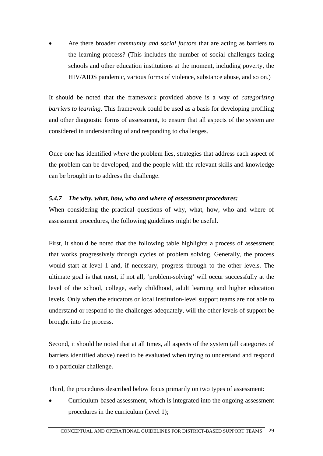Are there broader *community and social factors* that are acting as barriers to the learning process? (This includes the number of social challenges facing schools and other education institutions at the moment, including poverty, the HIV/AIDS pandemic, various forms of violence, substance abuse, and so on.)

It should be noted that the framework provided above is a way of *categorizing barriers to learning*. This framework could be used as a basis for developing profiling and other diagnostic forms of assessment, to ensure that all aspects of the system are considered in understanding of and responding to challenges.

Once one has identified *where* the problem lies, strategies that address each aspect of the problem can be developed, and the people with the relevant skills and knowledge can be brought in to address the challenge.

## *5.4.7 The why, what, how, who and where of assessment procedures:*

When considering the practical questions of why, what, how, who and where of assessment procedures, the following guidelines might be useful.

First, it should be noted that the following table highlights a process of assessment that works progressively through cycles of problem solving. Generally, the process would start at level 1 and, if necessary, progress through to the other levels. The ultimate goal is that most, if not all, 'problem-solving' will occur successfully at the level of the school, college, early childhood, adult learning and higher education levels. Only when the educators or local institution-level support teams are not able to understand or respond to the challenges adequately, will the other levels of support be brought into the process.

Second, it should be noted that at all times, all aspects of the system (all categories of barriers identified above) need to be evaluated when trying to understand and respond to a particular challenge.

Third, the procedures described below focus primarily on two types of assessment:

 Curriculum-based assessment, which is integrated into the ongoing assessment procedures in the curriculum (level 1);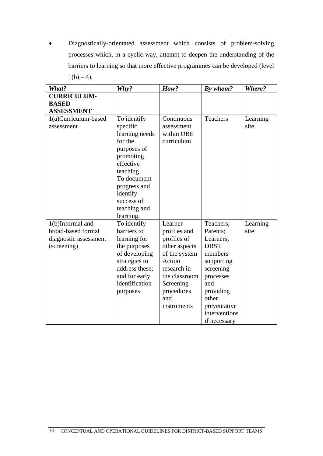Diagnostically-orientated assessment which consists of problem-solving processes which, in a cyclic way, attempt to deepen the understanding of the barriers to learning so that more effective programmes can be developed (level  $1(b) - 4$ ).

| What?                                | Why?                                                                                                                                                                                | How?                                                                                                                                     | By whom?                                                                                                                                                  | Where?           |
|--------------------------------------|-------------------------------------------------------------------------------------------------------------------------------------------------------------------------------------|------------------------------------------------------------------------------------------------------------------------------------------|-----------------------------------------------------------------------------------------------------------------------------------------------------------|------------------|
| <b>CURRICULUM-</b>                   |                                                                                                                                                                                     |                                                                                                                                          |                                                                                                                                                           |                  |
| <b>BASED</b>                         |                                                                                                                                                                                     |                                                                                                                                          |                                                                                                                                                           |                  |
| <b>ASSESSMENT</b>                    |                                                                                                                                                                                     |                                                                                                                                          |                                                                                                                                                           |                  |
| 1(a)Curriculum-based<br>assessment   | To identify<br>specific<br>learning needs<br>for the<br>purposes of<br>promoting<br>effective<br>teaching.<br>To document<br>progress and<br>identify<br>success of<br>teaching and | Continuous<br>assessment<br>within OBE<br>curriculum                                                                                     | Teachers                                                                                                                                                  | Learning<br>site |
| 1(b)Informal and                     | learning.<br>To identify                                                                                                                                                            | Learner                                                                                                                                  | Teachers;                                                                                                                                                 | Learning         |
| broad-based formal                   | barriers to                                                                                                                                                                         | profiles and                                                                                                                             | Parents;                                                                                                                                                  | site             |
|                                      |                                                                                                                                                                                     |                                                                                                                                          |                                                                                                                                                           |                  |
| diagnostic assessment<br>(screening) | learning for<br>the purposes<br>of developing<br>strategies to<br>address these;<br>and for early<br>identification<br>purposes                                                     | profiles of<br>other aspects<br>of the system<br>Action<br>research in<br>the classroom<br>Screening<br>procedures<br>and<br>instruments | Learners;<br><b>DBST</b><br>members<br>supporting<br>screening<br>processes<br>and<br>providing<br>other<br>preventative<br>interventions<br>if necessary |                  |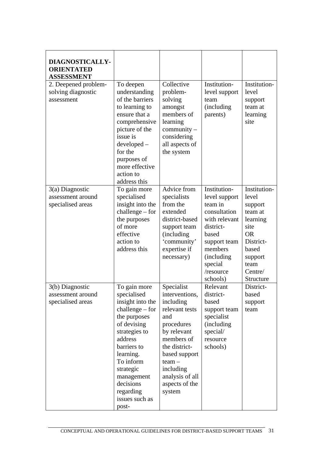| DIAGNOSTICALLY-<br><b>ORIENTATED</b><br><b>ASSESSMENT</b>   |                                                                                                                                                                                                                                                          |                                                                                                                                                                                                                         |                                                                                                                                                                                      |                                                                                                                                               |
|-------------------------------------------------------------|----------------------------------------------------------------------------------------------------------------------------------------------------------------------------------------------------------------------------------------------------------|-------------------------------------------------------------------------------------------------------------------------------------------------------------------------------------------------------------------------|--------------------------------------------------------------------------------------------------------------------------------------------------------------------------------------|-----------------------------------------------------------------------------------------------------------------------------------------------|
| 2. Deepened problem-<br>solving diagnostic<br>assessment    | To deepen<br>understanding<br>of the barriers<br>to learning to<br>ensure that a<br>comprehensive<br>picture of the<br>issue is<br>developed –<br>for the<br>purposes of<br>more effective<br>action to<br>address this                                  | Collective<br>problem-<br>solving<br>amongst<br>members of<br>learning<br>community $-$<br>considering<br>all aspects of<br>the system                                                                                  | Institution-<br>level support<br>team<br><i>(including)</i><br>parents)                                                                                                              | Institution-<br>level<br>support<br>team at<br>learning<br>site                                                                               |
| $3(a)$ Diagnostic<br>assessment around<br>specialised areas | To gain more<br>specialised<br>insight into the<br>$challenge - for$<br>the purposes<br>of more<br>effective<br>action to<br>address this                                                                                                                | Advice from<br>specialists<br>from the<br>extended<br>district-based<br>support team<br><i>(including)</i><br>'community'<br>expertise if<br>necessary)                                                                 | Institution-<br>level support<br>team in<br>consultation<br>with relevant<br>district-<br>based<br>support team<br>members<br><i>(including)</i><br>special<br>/resource<br>schools) | Institution-<br>level<br>support<br>team at<br>learning<br>site<br><b>OR</b><br>District-<br>based<br>support<br>team<br>Centre/<br>Structure |
| 3(b) Diagnostic<br>assessment around<br>specialised areas   | To gain more<br>specialised<br>insight into the<br>$challenge - for$<br>the purposes<br>of devising<br>strategies to<br>address<br>barriers to<br>learning.<br>To inform<br>strategic<br>management<br>decisions<br>regarding<br>issues such as<br>post- | Specialist<br>interventions,<br>including<br>relevant tests<br>and<br>procedures<br>by relevant<br>members of<br>the district-<br>based support<br>$team -$<br>including<br>analysis of all<br>aspects of the<br>system | Relevant<br>district-<br>based<br>support team<br>specialist<br>(including<br>special/<br>resource<br>schools)                                                                       | District-<br>based<br>support<br>team                                                                                                         |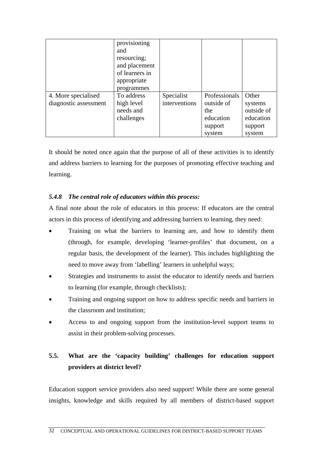|                       | provisioning<br>and<br>resourcing;<br>and placement<br>of learners in<br>appropriate<br>programmes |               |               |            |
|-----------------------|----------------------------------------------------------------------------------------------------|---------------|---------------|------------|
| 4. More specialised   | To address                                                                                         | Specialist    | Professionals | Other      |
| diagnostic assessment | high level                                                                                         | interventions | outside of    | systems    |
|                       | needs and                                                                                          |               | the           | outside of |
|                       | challenges                                                                                         |               | education     | education  |
|                       |                                                                                                    |               | support       | support    |
|                       |                                                                                                    |               | system        | system     |

It should be noted once again that the purpose of all of these activities is to identify and address barriers to learning for the purposes of promoting effective teaching and learning.

## *5.4.8 The central role of educators within this process:*

A final note about the role of educators in this process: If educators are the central actors in this process of identifying and addressing barriers to learning, they need:

- Training on what the barriers to learning are, and how to identify them (through, for example, developing 'learner-profiles' that document, on a regular basis, the development of the learner). This includes highlighting the need to move away from 'labelling' learners in unhelpful ways;
- Strategies and instruments to assist the educator to identify needs and barriers to learning (for example, through checklists);
- Training and ongoing support on how to address specific needs and barriers in the classroom and institution;
- Access to and ongoing support from the institution-level support teams to assist in their problem-solving processes.

# **5.5. What are the 'capacity building' challenges for education support providers at district level?**

Education support service providers also need support! While there are some general insights, knowledge and skills required by all members of district-based support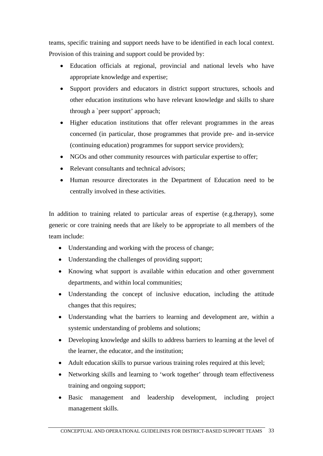teams, specific training and support needs have to be identified in each local context. Provision of this training and support could be provided by:

- Education officials at regional, provincial and national levels who have appropriate knowledge and expertise;
- Support providers and educators in district support structures, schools and other education institutions who have relevant knowledge and skills to share through a `peer support' approach;
- Higher education institutions that offer relevant programmes in the areas concerned (in particular, those programmes that provide pre- and in-service (continuing education) programmes for support service providers);
- NGOs and other community resources with particular expertise to offer;
- Relevant consultants and technical advisors;
- Human resource directorates in the Department of Education need to be centrally involved in these activities.

In addition to training related to particular areas of expertise (e.g.therapy), some generic or core training needs that are likely to be appropriate to all members of the team include:

- Understanding and working with the process of change;
- Understanding the challenges of providing support;
- Knowing what support is available within education and other government departments, and within local communities;
- Understanding the concept of inclusive education, including the attitude changes that this requires;
- Understanding what the barriers to learning and development are, within a systemic understanding of problems and solutions;
- Developing knowledge and skills to address barriers to learning at the level of the learner, the educator, and the institution;
- Adult education skills to pursue various training roles required at this level;
- Networking skills and learning to 'work together' through team effectiveness training and ongoing support;
- Basic management and leadership development, including project management skills.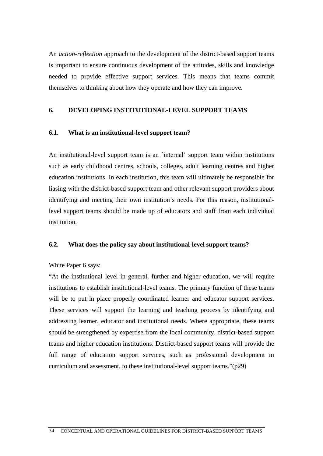An *action-reflection* approach to the development of the district-based support teams is important to ensure continuous development of the attitudes, skills and knowledge needed to provide effective support services. This means that teams commit themselves to thinking about how they operate and how they can improve.

#### **6. DEVELOPING INSTITUTIONAL-LEVEL SUPPORT TEAMS**

#### **6.1. What is an institutional-level support team?**

An institutional-level support team is an `internal' support team within institutions such as early childhood centres, schools, colleges, adult learning centres and higher education institutions. In each institution, this team will ultimately be responsible for liasing with the district-based support team and other relevant support providers about identifying and meeting their own institution's needs. For this reason, institutionallevel support teams should be made up of educators and staff from each individual institution.

#### **6.2. What does the policy say about institutional-level support teams?**

#### White Paper 6 says:

"At the institutional level in general, further and higher education, we will require institutions to establish institutional-level teams. The primary function of these teams will be to put in place properly coordinated learner and educator support services. These services will support the learning and teaching process by identifying and addressing learner, educator and institutional needs. Where appropriate, these teams should be strengthened by expertise from the local community, district-based support teams and higher education institutions. District-based support teams will provide the full range of education support services, such as professional development in curriculum and assessment, to these institutional-level support teams."(p29)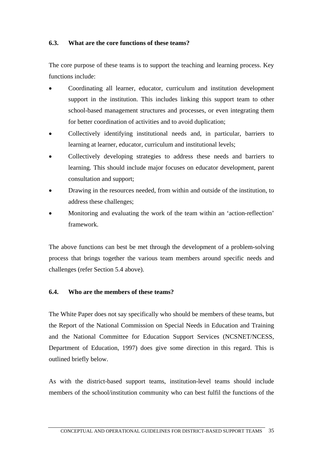#### **6.3. What are the core functions of these teams?**

The core purpose of these teams is to support the teaching and learning process. Key functions include:

- Coordinating all learner, educator, curriculum and institution development support in the institution. This includes linking this support team to other school-based management structures and processes, or even integrating them for better coordination of activities and to avoid duplication;
- Collectively identifying institutional needs and, in particular, barriers to learning at learner, educator, curriculum and institutional levels;
- Collectively developing strategies to address these needs and barriers to learning. This should include major focuses on educator development, parent consultation and support;
- Drawing in the resources needed, from within and outside of the institution, to address these challenges;
- Monitoring and evaluating the work of the team within an 'action-reflection' framework.

The above functions can best be met through the development of a problem-solving process that brings together the various team members around specific needs and challenges (refer Section 5.4 above).

#### **6.4. Who are the members of these teams?**

The White Paper does not say specifically who should be members of these teams, but the Report of the National Commission on Special Needs in Education and Training and the National Committee for Education Support Services (NCSNET/NCESS, Department of Education, 1997) does give some direction in this regard. This is outlined briefly below.

As with the district-based support teams, institution-level teams should include members of the school/institution community who can best fulfil the functions of the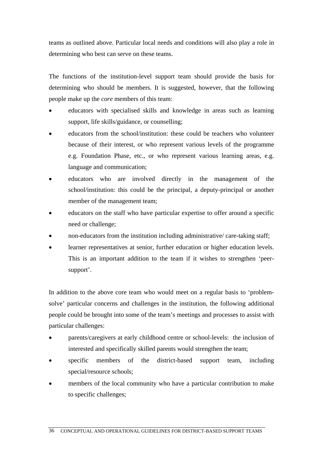teams as outlined above. Particular local needs and conditions will also play a role in determining who best can serve on these teams.

The functions of the institution-level support team should provide the basis for determining who should be members. It is suggested, however, that the following people make up the *core* members of this team:

- educators with specialised skills and knowledge in areas such as learning support, life skills/guidance, or counselling;
- educators from the school/institution: these could be teachers who volunteer because of their interest, or who represent various levels of the programme e.g. Foundation Phase, etc., or who represent various learning areas, e.g. language and communication;
- educators who are involved directly in the management of the school/institution: this could be the principal, a deputy-principal or another member of the management team;
- educators on the staff who have particular expertise to offer around a specific need or challenge;
- non-educators from the institution including administrative/ care-taking staff;
- learner representatives at senior, further education or higher education levels. This is an important addition to the team if it wishes to strengthen 'peersupport'.

In addition to the above core team who would meet on a regular basis to 'problemsolve' particular concerns and challenges in the institution, the following additional people could be brought into some of the team's meetings and processes to assist with particular challenges:

- parents/caregivers at early childhood centre or school-levels: the inclusion of interested and specifically skilled parents would strengthen the team;
- specific members of the district-based support team, including special/resource schools;
- members of the local community who have a particular contribution to make to specific challenges;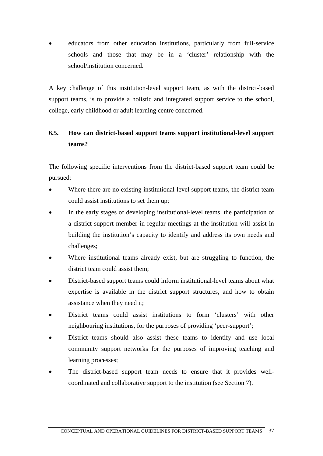educators from other education institutions, particularly from full-service schools and those that may be in a 'cluster' relationship with the school/institution concerned.

A key challenge of this institution-level support team, as with the district-based support teams, is to provide a holistic and integrated support service to the school, college, early childhood or adult learning centre concerned.

# **6.5. How can district-based support teams support institutional-level support teams?**

The following specific interventions from the district-based support team could be pursued:

- Where there are no existing institutional-level support teams, the district team could assist institutions to set them up;
- In the early stages of developing institutional-level teams, the participation of a district support member in regular meetings at the institution will assist in building the institution's capacity to identify and address its own needs and challenges;
- Where institutional teams already exist, but are struggling to function, the district team could assist them;
- District-based support teams could inform institutional-level teams about what expertise is available in the district support structures, and how to obtain assistance when they need it;
- District teams could assist institutions to form 'clusters' with other neighbouring institutions, for the purposes of providing 'peer-support';
- District teams should also assist these teams to identify and use local community support networks for the purposes of improving teaching and learning processes;
- The district-based support team needs to ensure that it provides wellcoordinated and collaborative support to the institution (see Section 7).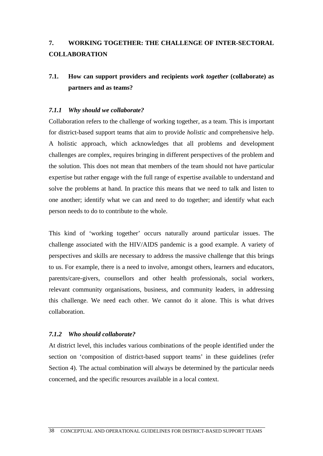# **7. WORKING TOGETHER: THE CHALLENGE OF INTER-SECTORAL COLLABORATION**

# **7.1. How can support providers and recipients** *work together* **(collaborate) as partners and as teams?**

#### *7.1.1 Why should we collaborate?*

Collaboration refers to the challenge of working together, as a team. This is important for district-based support teams that aim to provide *holistic* and comprehensive help. A holistic approach, which acknowledges that all problems and development challenges are complex, requires bringing in different perspectives of the problem and the solution. This does not mean that members of the team should not have particular expertise but rather engage with the full range of expertise available to understand and solve the problems at hand. In practice this means that we need to talk and listen to one another; identify what we can and need to do together; and identify what each person needs to do to contribute to the whole.

This kind of 'working together' occurs naturally around particular issues. The challenge associated with the HIV/AIDS pandemic is a good example. A variety of perspectives and skills are necessary to address the massive challenge that this brings to us. For example, there is a need to involve, amongst others, learners and educators, parents/care-givers, counsellors and other health professionals, social workers, relevant community organisations, business, and community leaders, in addressing this challenge. We need each other. We cannot do it alone. This is what drives collaboration.

#### *7.1.2 Who should collaborate?*

At district level, this includes various combinations of the people identified under the section on 'composition of district-based support teams' in these guidelines (refer Section 4). The actual combination will always be determined by the particular needs concerned, and the specific resources available in a local context.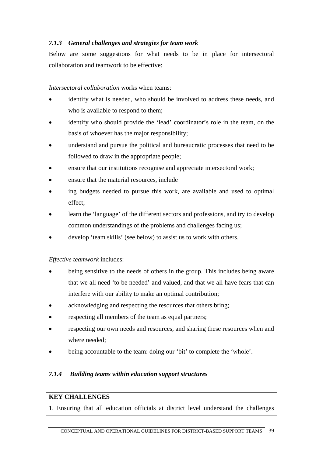## *7.1.3 General challenges and strategies for team work*

Below are some suggestions for what needs to be in place for intersectoral collaboration and teamwork to be effective:

*Intersectoral collaboration* works when teams:

- identify what is needed, who should be involved to address these needs, and who is available to respond to them;
- identify who should provide the 'lead' coordinator's role in the team, on the basis of whoever has the major responsibility;
- understand and pursue the political and bureaucratic processes that need to be followed to draw in the appropriate people;
- ensure that our institutions recognise and appreciate intersectoral work;
- ensure that the material resources, include
- ing budgets needed to pursue this work, are available and used to optimal effect;
- learn the 'language' of the different sectors and professions, and try to develop common understandings of the problems and challenges facing us;
- develop 'team skills' (see below) to assist us to work with others.

*Effective teamwork* includes:

- being sensitive to the needs of others in the group. This includes being aware that we all need 'to be needed' and valued, and that we all have fears that can interfere with our ability to make an optimal contribution;
- acknowledging and respecting the resources that others bring;
- respecting all members of the team as equal partners;
- respecting our own needs and resources, and sharing these resources when and where needed;
- being accountable to the team: doing our 'bit' to complete the 'whole'.

#### *7.1.4 Building teams within education support structures*

## **KEY CHALLENGES**

1. Ensuring that all education officials at district level understand the challenges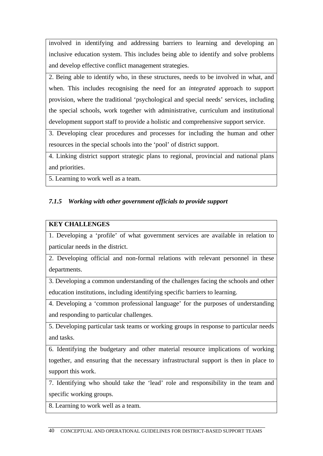involved in identifying and addressing barriers to learning and developing an inclusive education system. This includes being able to identify and solve problems and develop effective conflict management strategies.

2. Being able to identify who, in these structures, needs to be involved in what, and when. This includes recognising the need for an *integrated* approach to support provision, where the traditional 'psychological and special needs' services, including the special schools, work together with administrative, curriculum and institutional development support staff to provide a holistic and comprehensive support service.

3. Developing clear procedures and processes for including the human and other resources in the special schools into the 'pool' of district support.

4. Linking district support strategic plans to regional, provincial and national plans and priorities.

5. Learning to work well as a team.

## *7.1.5 Working with other government officials to provide support*

#### **KEY CHALLENGES**

1. Developing a 'profile' of what government services are available in relation to particular needs in the district.

2. Developing official and non-formal relations with relevant personnel in these departments.

3. Developing a common understanding of the challenges facing the schools and other education institutions, including identifying specific barriers to learning.

4. Developing a 'common professional language' for the purposes of understanding and responding to particular challenges.

5. Developing particular task teams or working groups in response to particular needs and tasks.

6. Identifying the budgetary and other material resource implications of working together, and ensuring that the necessary infrastructural support is then in place to support this work.

7. Identifying who should take the 'lead' role and responsibility in the team and specific working groups.

8. Learning to work well as a team.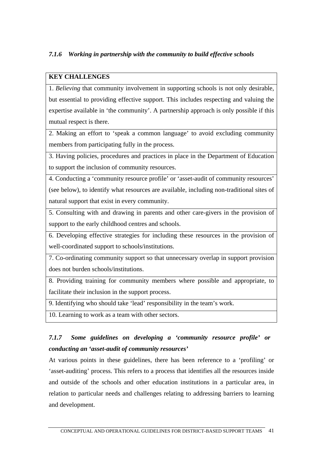# *7.1.6 Working in partnership with the community to build effective schools*

## **KEY CHALLENGES**

1. *Believing* that community involvement in supporting schools is not only desirable, but essential to providing effective support. This includes respecting and valuing the expertise available in 'the community'. A partnership approach is only possible if this mutual respect is there.

2. Making an effort to 'speak a common language' to avoid excluding community members from participating fully in the process.

3. Having policies, procedures and practices in place in the Department of Education to support the inclusion of community resources.

4. Conducting a 'community resource profile' or 'asset-audit of community resources' (see below), to identify what resources are available, including non-traditional sites of natural support that exist in every community.

5. Consulting with and drawing in parents and other care-givers in the provision of support to the early childhood centres and schools.

6. Developing effective strategies for including these resources in the provision of well-coordinated support to schools/institutions.

7. Co-ordinating community support so that unnecessary overlap in support provision does not burden schools/institutions.

8. Providing training for community members where possible and appropriate, to facilitate their inclusion in the support process.

9. Identifying who should take 'lead' responsibility in the team's work.

10. Learning to work as a team with other sectors.

# *7.1.7 Some guidelines on developing a 'community resource profile' or conducting an 'asset-audit of community resources'*

At various points in these guidelines, there has been reference to a 'profiling' or 'asset-auditing' process. This refers to a process that identifies all the resources inside and outside of the schools and other education institutions in a particular area, in relation to particular needs and challenges relating to addressing barriers to learning and development.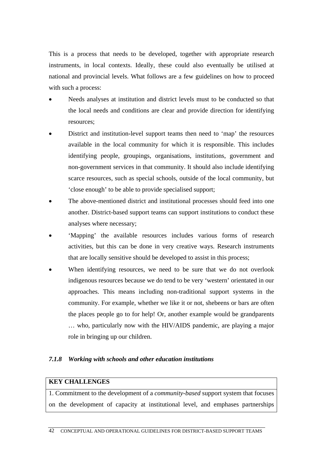This is a process that needs to be developed, together with appropriate research instruments, in local contexts. Ideally, these could also eventually be utilised at national and provincial levels. What follows are a few guidelines on how to proceed with such a process:

- Needs analyses at institution and district levels must to be conducted so that the local needs and conditions are clear and provide direction for identifying resources;
- District and institution-level support teams then need to 'map' the resources available in the local community for which it is responsible. This includes identifying people, groupings, organisations, institutions, government and non-government services in that community. It should also include identifying scarce resources, such as special schools, outside of the local community, but 'close enough' to be able to provide specialised support;
- The above-mentioned district and institutional processes should feed into one another. District-based support teams can support institutions to conduct these analyses where necessary;
- 'Mapping' the available resources includes various forms of research activities, but this can be done in very creative ways. Research instruments that are locally sensitive should be developed to assist in this process;
- When identifying resources, we need to be sure that we do not overlook indigenous resources because we do tend to be very 'western' orientated in our approaches. This means including non-traditional support systems in the community. For example, whether we like it or not, shebeens or bars are often the places people go to for help! Or, another example would be grandparents … who, particularly now with the HIV/AIDS pandemic, are playing a major role in bringing up our children.

### *7.1.8 Working with schools and other education institutions*

#### **KEY CHALLENGES**

1. Commitment to the development of a *community-based* support system that focuses on the development of capacity at institutional level, and emphases partnerships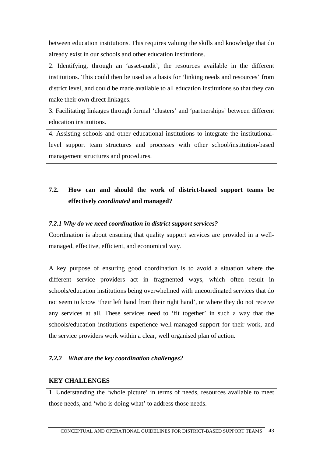between education institutions. This requires valuing the skills and knowledge that do already exist in our schools and other education institutions.

2. Identifying, through an 'asset-audit', the resources available in the different institutions. This could then be used as a basis for 'linking needs and resources' from district level, and could be made available to all education institutions so that they can make their own direct linkages.

3. Facilitating linkages through formal 'clusters' and 'partnerships' between different education institutions.

4. Assisting schools and other educational institutions to integrate the institutionallevel support team structures and processes with other school/institution-based management structures and procedures.

# **7.2. How can and should the work of district-based support teams be effectively** *coordinated* **and managed?**

## *7.2.1 Why do we need coordination in district support services?*

Coordination is about ensuring that quality support services are provided in a wellmanaged, effective, efficient, and economical way.

A key purpose of ensuring good coordination is to avoid a situation where the different service providers act in fragmented ways, which often result in schools/education institutions being overwhelmed with uncoordinated services that do not seem to know 'their left hand from their right hand', or where they do not receive any services at all. These services need to 'fit together' in such a way that the schools/education institutions experience well-managed support for their work, and the service providers work within a clear, well organised plan of action.

## *7.2.2 What are the key coordination challenges?*

#### **KEY CHALLENGES**

1. Understanding the 'whole picture' in terms of needs, resources available to meet those needs, and 'who is doing what' to address those needs.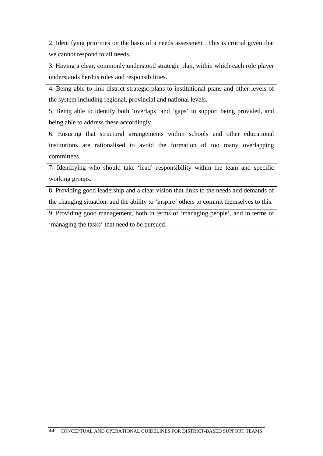2. Identifying priorities on the basis of a needs assessment. This is crucial given that we cannot respond to all needs.

3. Having a clear, commonly understood strategic plan, within which each role player understands her/his roles and responsibilities.

4. Being able to link district strategic plans to institutional plans and other levels of the system including regional, provincial and national levels.

5. Being able to identify both 'overlaps' and 'gaps' in support being provided, and being able to address these accordingly.

6. Ensuring that structural arrangements within schools and other educational institutions are rationalised to avoid the formation of too many overlapping committees.

7. Identifying who should take 'lead' responsibility within the team and specific working groups.

8. Providing good leadership and a clear vision that links to the needs and demands of the changing situation, and the ability to 'inspire' others to commit themselves to this.

9. Providing good management, both in terms of 'managing people', and in terms of 'managing the tasks' that need to be pursued.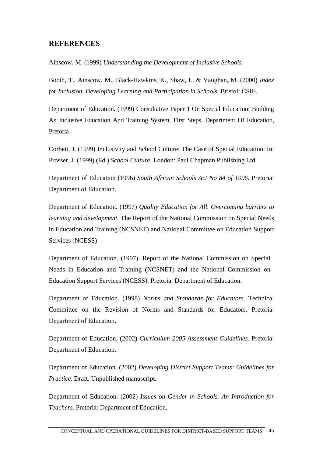# **REFERENCES**

Ainscow, M. (1999) *Understanding the Development of Inclusive Schools.* 

Booth, T., Ainscow, M., Black-Hawkins, K., Shaw, L. & Vaughan, M. (2000) *Index for Inclusion. Developing Learning and Participation in Schools.* Bristol: CSIE.

Department of Education. (1999) Consultative Paper 1 On Special Education: Building An Inclusive Education And Training System, First Steps. Department Of Education, Pretoria

Corbett, J. (1999) Inclusivity and School Culture: The Case of Special Education. In: Prosser, J. (1999) (Ed.) *School Culture.* London: Paul Chapman Publishing Ltd.

Department of Education (1996) *South African Schools Act No 84 of 1996.* Pretoria: Department of Education.

Department of Education. (1997) *Quality Education for All. Overcoming barriers to learning and development.* The Report of the National Commission on Special Needs in Education and Training (NCSNET) and National Committee on Education Support Services (NCESS)

Department of Education. (1997). Report of the National Commission on Special Needs in Education and Training (NCSNET) and the National Commission on Education Support Services (NCESS). Pretoria: Department of Education.

Department of Education. (1998) *Norms and Standards for Educators.* Technical Committee on the Revision of Norms and Standards for Educators. Pretoria: Department of Education.

Department of Education. (2002) *Curriculum 2005 Assessment Guidelines.* Pretoria: Department of Education.

Department of Education. (2002) *Developing District Support Teams: Guidelines for Practice*. Draft. Unpublished manuscript.

Department of Education. (2002) *Issues on Gender in Schools. An Introduction for Teachers.* Pretoria: Department of Education.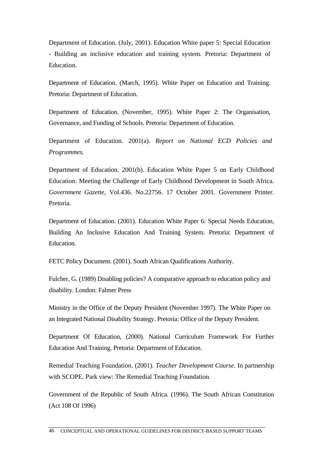Department of Education. (July, 2001). Education White paper 5: Special Education - Building an inclusive education and training system. Pretoria: Department of Education.

Department of Education. (March, 1995). White Paper on Education and Training. Pretoria: Department of Education.

Department of Education. (November, 1995). White Paper 2: The Organisation, Governance, and Funding of Schools. Pretoria: Department of Education.

Department of Education. 2001(a). *Report on National ECD Policies and Programmes.* 

Department of Education. 2001(b). Education White Paper 5 on Early Childhood Education: Meeting the Challenge of Early Childhood Development in South Africa. *Government Gazette,* Vol.436. No.22756. 17 October 2001. Government Printer. Pretoria.

Department of Education. (2001). Education White Paper 6: Special Needs Education, Building An Inclusive Education And Training System. Pretoria: Department of Education.

FETC Policy Document. (2001). South African Qualifications Authority.

Fulcher, G. (1989) Disabling policies? A comparative approach to education policy and disability. London: Falmer Press

Ministry in the Office of the Deputy President (November 1997). The White Paper on an Integrated National Disability Strategy. Pretoria: Office of the Deputy President.

Department Of Education, (2000). National Curriculum Framework For Further Education And Training. Pretoria: Department of Education.

Remedial Teaching Foundation. (2001). *Teacher Development Course*. In partnership with SCOPE. Park view: The Remedial Teaching Foundation.

Government of the Republic of South Africa. (1996). The South African Constitution (Act 108 Of 1996)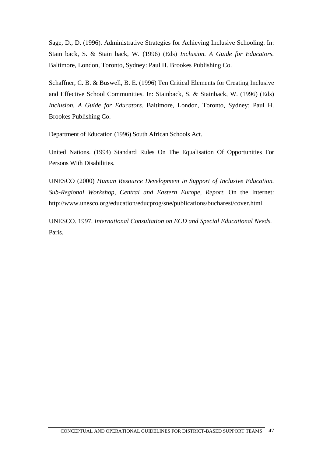Sage, D., D. (1996). Administrative Strategies for Achieving Inclusive Schooling. In: Stain back, S. & Stain back, W. (1996) (Eds) *Inclusion. A Guide for Educators.* Baltimore, London, Toronto, Sydney: Paul H. Brookes Publishing Co.

Schaffner, C. B. & Buswell, B. E. (1996) Ten Critical Elements for Creating Inclusive and Effective School Communities. In: Stainback, S. & Stainback, W. (1996) (Eds) *Inclusion. A Guide for Educators.* Baltimore, London, Toronto, Sydney: Paul H. Brookes Publishing Co.

Department of Education (1996) South African Schools Act.

United Nations. (1994) Standard Rules On The Equalisation Of Opportunities For Persons With Disabilities.

UNESCO (2000) *Human Resource Development in Support of Inclusive Education. Sub-Regional Workshop, Central and Eastern Europe, Report.* On the Internet: http://www.unesco.org/education/educprog/sne/publications/bucharest/cover.html

UNESCO. 1997. *International Consultation on ECD and Special Educational Needs.* Paris.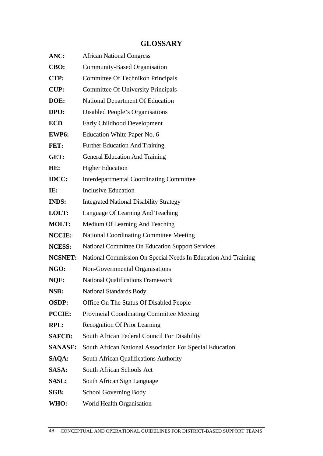# **GLOSSARY**

| ANC:           | <b>African National Congress</b>                               |
|----------------|----------------------------------------------------------------|
| CBO:           | <b>Community-Based Organisation</b>                            |
| CTP:           | Committee Of Technikon Principals                              |
| <b>CUP:</b>    | <b>Committee Of University Principals</b>                      |
| DOE:           | <b>National Department Of Education</b>                        |
| DPO:           | Disabled People's Organisations                                |
| <b>ECD</b>     | Early Childhood Development                                    |
| EWP6:          | Education White Paper No. 6                                    |
| FET:           | <b>Further Education And Training</b>                          |
| GET:           | <b>General Education And Training</b>                          |
| HE:            | <b>Higher Education</b>                                        |
| <b>IDCC:</b>   | <b>Interdepartmental Coordinating Committee</b>                |
| IE:            | <b>Inclusive Education</b>                                     |
| <b>INDS:</b>   | <b>Integrated National Disability Strategy</b>                 |
| <b>LOLT:</b>   | Language Of Learning And Teaching                              |
| <b>MOLT:</b>   | Medium Of Learning And Teaching                                |
| <b>NCCIE:</b>  | <b>National Coordinating Committee Meeting</b>                 |
| <b>NCESS:</b>  | <b>National Committee On Education Support Services</b>        |
| <b>NCSNET:</b> | National Commission On Special Needs In Education And Training |
| NGO:           | Non-Governmental Organisations                                 |
| NQF:           | <b>National Qualifications Framework</b>                       |
| NSB:           | <b>National Standards Body</b>                                 |
| <b>OSDP:</b>   | Office On The Status Of Disabled People                        |
| <b>PCCIE:</b>  | <b>Provincial Coordinating Committee Meeting</b>               |
| RPL:           | <b>Recognition Of Prior Learning</b>                           |
| <b>SAFCD:</b>  | South African Federal Council For Disability                   |
| <b>SANASE:</b> | South African National Association For Special Education       |
| SAQA:          | South African Qualifications Authority                         |
| <b>SASA:</b>   | South African Schools Act                                      |
| <b>SASL:</b>   | South African Sign Language                                    |
| SGB:           | School Governing Body                                          |
| WHO:           | World Health Organisation                                      |